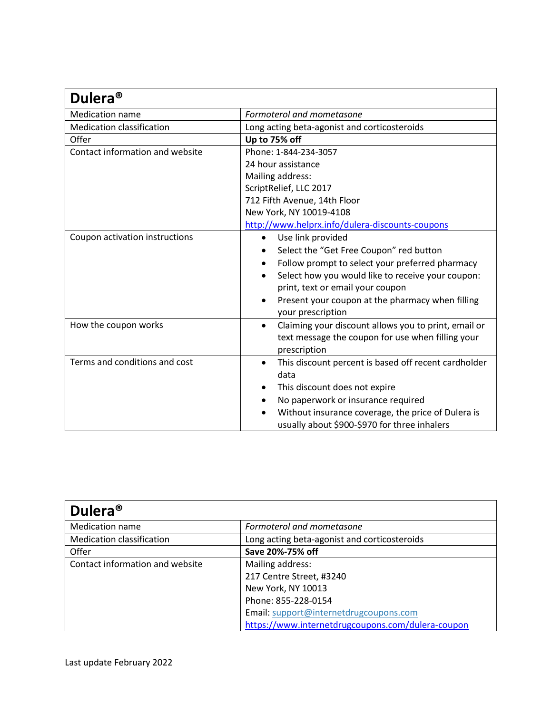| Dulera <sup>®</sup>              |                                                                   |
|----------------------------------|-------------------------------------------------------------------|
| <b>Medication name</b>           | Formoterol and mometasone                                         |
| <b>Medication classification</b> | Long acting beta-agonist and corticosteroids                      |
| Offer                            | Up to 75% off                                                     |
| Contact information and website  | Phone: 1-844-234-3057                                             |
|                                  | 24 hour assistance                                                |
|                                  | Mailing address:                                                  |
|                                  | ScriptRelief, LLC 2017                                            |
|                                  | 712 Fifth Avenue, 14th Floor                                      |
|                                  | New York, NY 10019-4108                                           |
|                                  | http://www.helprx.info/dulera-discounts-coupons                   |
| Coupon activation instructions   | Use link provided<br>$\bullet$                                    |
|                                  | Select the "Get Free Coupon" red button                           |
|                                  | Follow prompt to select your preferred pharmacy<br>٠              |
|                                  | Select how you would like to receive your coupon:                 |
|                                  | print, text or email your coupon                                  |
|                                  | Present your coupon at the pharmacy when filling<br>$\bullet$     |
|                                  | your prescription                                                 |
| How the coupon works             | Claiming your discount allows you to print, email or<br>$\bullet$ |
|                                  | text message the coupon for use when filling your                 |
|                                  | prescription                                                      |
| Terms and conditions and cost    | This discount percent is based off recent cardholder<br>$\bullet$ |
|                                  | data                                                              |
|                                  | This discount does not expire                                     |
|                                  | No paperwork or insurance required                                |
|                                  | Without insurance coverage, the price of Dulera is                |
|                                  | usually about \$900-\$970 for three inhalers                      |

| Dulera <sup>®</sup>              |                                                   |
|----------------------------------|---------------------------------------------------|
| Medication name                  | Formoterol and mometasone                         |
| <b>Medication classification</b> | Long acting beta-agonist and corticosteroids      |
| Offer                            | Save 20%-75% off                                  |
| Contact information and website  | Mailing address:                                  |
|                                  | 217 Centre Street, #3240                          |
|                                  | New York, NY 10013                                |
|                                  | Phone: 855-228-0154                               |
|                                  | Email: support@internetdrugcoupons.com            |
|                                  | https://www.internetdrugcoupons.com/dulera-coupon |